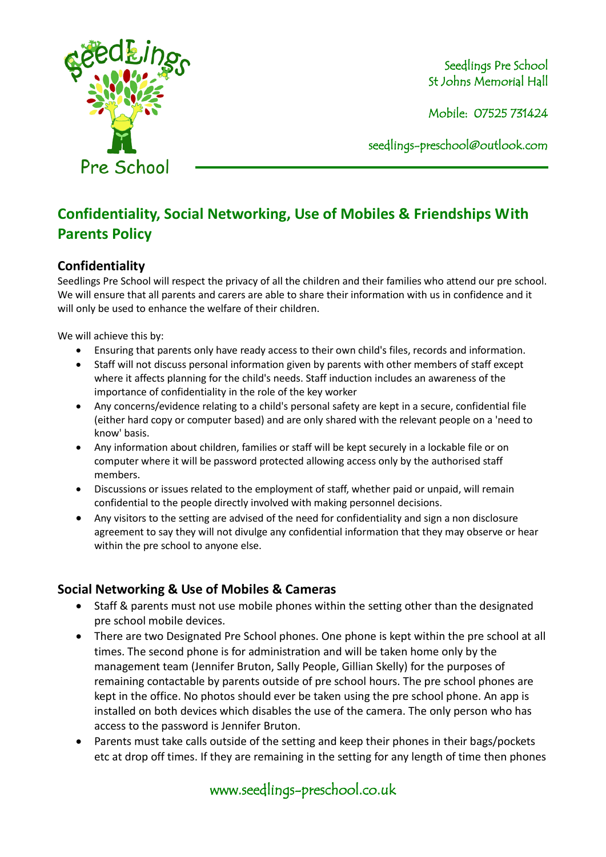

Mobile: 07525 731424

seedlings[-preschool@outlook.com](mailto:preschool@outlook.com)

# **Confidentiality, Social Networking, Use of Mobiles & Friendships With Parents Policy**

# **Confidentiality**

Seedlings Pre School will respect the privacy of all the children and their families who attend our pre school. We will ensure that all parents and carers are able to share their information with us in confidence and it will only be used to enhance the welfare of their children.

We will achieve this by:

- Ensuring that parents only have ready access to their own child's files, records and information.
- Staff will not discuss personal information given by parents with other members of staff except where it affects planning for the child's needs. Staff induction includes an awareness of the importance of confidentiality in the role of the key worker
- Any concerns/evidence relating to a child's personal safety are kept in a secure, confidential file (either hard copy or computer based) and are only shared with the relevant people on a 'need to know' basis.
- Any information about children, families or staff will be kept securely in a lockable file or on computer where it will be password protected allowing access only by the authorised staff members.
- Discussions or issues related to the employment of staff, whether paid or unpaid, will remain confidential to the people directly involved with making personnel decisions.
- Any visitors to the setting are advised of the need for confidentiality and sign a non disclosure agreement to say they will not divulge any confidential information that they may observe or hear within the pre school to anyone else.

# **Social Networking & Use of Mobiles & Cameras**

- Staff & parents must not use mobile phones within the setting other than the designated pre school mobile devices.
- There are two Designated Pre School phones. One phone is kept within the pre school at all times. The second phone is for administration and will be taken home only by the management team (Jennifer Bruton, Sally People, Gillian Skelly) for the purposes of remaining contactable by parents outside of pre school hours. The pre school phones are kept in the office. No photos should ever be taken using the pre school phone. An app is installed on both devices which disables the use of the camera. The only person who has access to the password is Jennifer Bruton.
- Parents must take calls outside of the setting and keep their phones in their bags/pockets etc at drop off times. If they are remaining in the setting for any length of time then phones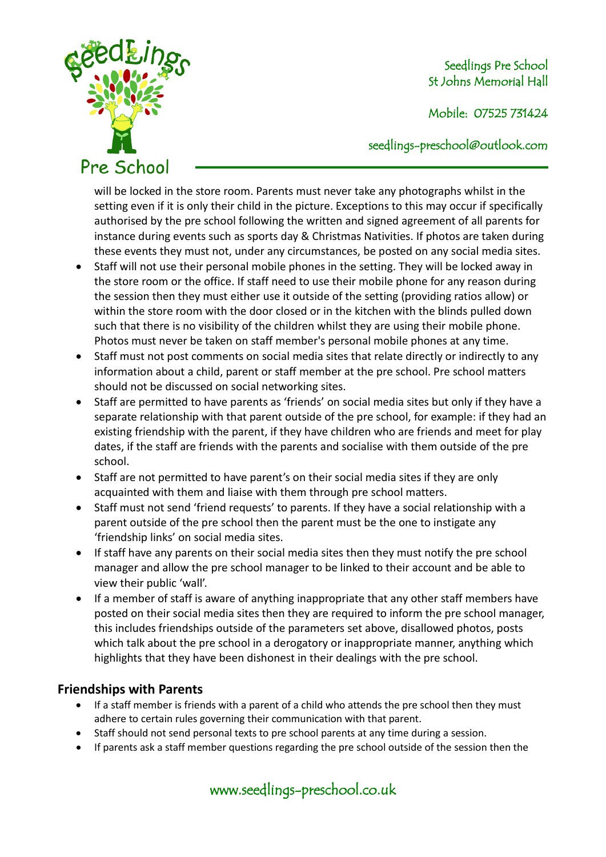

Mobile: 07525 731424

seedlings[-preschool@outlook.com](mailto:preschool@outlook.com)

will be locked in the store room. Parents must never take any photographs whilst in the setting even if it is only their child in the picture. Exceptions to this may occur if specifically authorised by the pre school following the written and signed agreement of all parents for instance during events such as sports day & Christmas Nativities. If photos are taken during these events they must not, under any circumstances, be posted on any social media sites.

- Staff will not use their personal mobile phones in the setting. They will be locked away in the store room or the office. If staff need to use their mobile phone for any reason during the session then they must either use it outside of the setting (providing ratios allow) or within the store room with the door closed or in the kitchen with the blinds pulled down such that there is no visibility of the children whilst they are using their mobile phone. Photos must never be taken on staff member's personal mobile phones at any time.
- Staff must not post comments on social media sites that relate directly or indirectly to any information about a child, parent or staff member at the pre school. Pre school matters should not be discussed on social networking sites.
- Staff are permitted to have parents as 'friends' on social media sites but only if they have a separate relationship with that parent outside of the pre school, for example: if they had an existing friendship with the parent, if they have children who are friends and meet for play dates, if the staff are friends with the parents and socialise with them outside of the pre school.
- Staff are not permitted to have parent's on their social media sites if they are only acquainted with them and liaise with them through pre school matters.
- Staff must not send 'friend requests' to parents. If they have a social relationship with a parent outside of the pre school then the parent must be the one to instigate any 'friendship links' on social media sites.
- If staff have any parents on their social media sites then they must notify the pre school manager and allow the pre school manager to be linked to their account and be able to view their public 'wall'.
- If a member of staff is aware of anything inappropriate that any other staff members have posted on their social media sites then they are required to inform the pre school manager, this includes friendships outside of the parameters set above, disallowed photos, posts which talk about the pre school in a derogatory or inappropriate manner, anything which highlights that they have been dishonest in their dealings with the pre school.

# **Friendships with Parents**

- If a staff member is friends with a parent of a child who attends the pre school then they must adhere to certain rules governing their communication with that parent.
- Staff should not send personal texts to pre school parents at any time during a session.
- If parents ask a staff member questions regarding the pre school outside of the session then the

www.seedlings-preschool.co.uk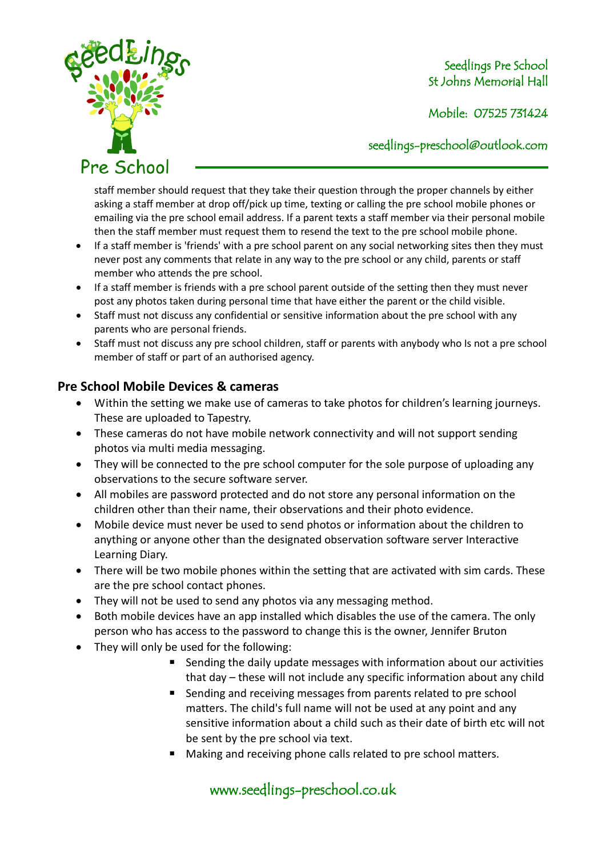

Mobile: 07525 731424

seedlings[-preschool@outlook.com](mailto:preschool@outlook.com)

staff member should request that they take their question through the proper channels by either asking a staff member at drop off/pick up time, texting or calling the pre school mobile phones or emailing via the pre school email address. If a parent texts a staff member via their personal mobile then the staff member must request them to resend the text to the pre school mobile phone.

- If a staff member is 'friends' with a pre school parent on any social networking sites then they must never post any comments that relate in any way to the pre school or any child, parents or staff member who attends the pre school.
- If a staff member is friends with a pre school parent outside of the setting then they must never post any photos taken during personal time that have either the parent or the child visible.
- Staff must not discuss any confidential or sensitive information about the pre school with any parents who are personal friends.
- Staff must not discuss any pre school children, staff or parents with anybody who Is not a pre school member of staff or part of an authorised agency.

# **Pre School Mobile Devices & cameras**

- Within the setting we make use of cameras to take photos for children's learning journeys. These are uploaded to Tapestry.
- These cameras do not have mobile network connectivity and will not support sending photos via multi media messaging.
- They will be connected to the pre school computer for the sole purpose of uploading any observations to the secure software server.
- All mobiles are password protected and do not store any personal information on the children other than their name, their observations and their photo evidence.
- Mobile device must never be used to send photos or information about the children to anything or anyone other than the designated observation software server Interactive Learning Diary.
- There will be two mobile phones within the setting that are activated with sim cards. These are the pre school contact phones.
- They will not be used to send any photos via any messaging method.
- Both mobile devices have an app installed which disables the use of the camera. The only person who has access to the password to change this is the owner, Jennifer Bruton
- They will only be used for the following:
	- Sending the daily update messages with information about our activities that day – these will not include any specific information about any child
	- Sending and receiving messages from parents related to pre school matters. The child's full name will not be used at any point and any sensitive information about a child such as their date of birth etc will not be sent by the pre school via text.
	- Making and receiving phone calls related to pre school matters.

# www.seedlings-preschool.co.uk